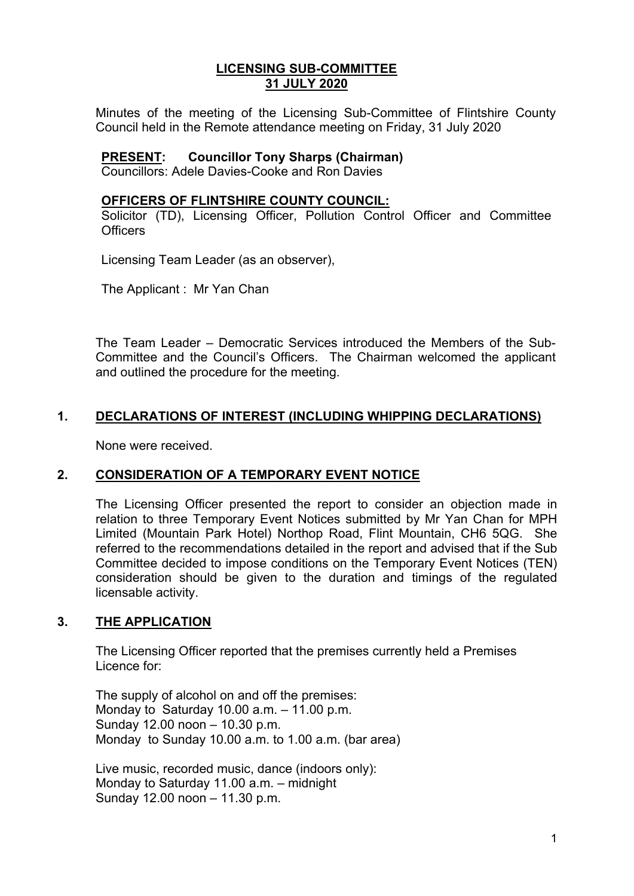# **LICENSING SUB-COMMITTEE 31 JULY 2020**

Minutes of the meeting of the Licensing Sub-Committee of Flintshire County Council held in the Remote attendance meeting on Friday, 31 July 2020

#### **PRESENT: Councillor Tony Sharps (Chairman)**

Councillors: Adele Davies-Cooke and Ron Davies

#### **OFFICERS OF FLINTSHIRE COUNTY COUNCIL:**

Solicitor (TD), Licensing Officer, Pollution Control Officer and Committee **Officers** 

Licensing Team Leader (as an observer),

The Applicant : Mr Yan Chan

The Team Leader – Democratic Services introduced the Members of the Sub-Committee and the Council's Officers. The Chairman welcomed the applicant and outlined the procedure for the meeting.

# **1. DECLARATIONS OF INTEREST (INCLUDING WHIPPING DECLARATIONS)**

None were received.

# **2. CONSIDERATION OF A TEMPORARY EVENT NOTICE**

The Licensing Officer presented the report to consider an objection made in relation to three Temporary Event Notices submitted by Mr Yan Chan for MPH Limited (Mountain Park Hotel) Northop Road, Flint Mountain, CH6 5QG. She referred to the recommendations detailed in the report and advised that if the Sub Committee decided to impose conditions on the Temporary Event Notices (TEN) consideration should be given to the duration and timings of the regulated licensable activity.

# **3. THE APPLICATION**

The Licensing Officer reported that the premises currently held a Premises Licence for:

The supply of alcohol on and off the premises: Monday to Saturday 10.00 a.m. – 11.00 p.m. Sunday 12.00 noon – 10.30 p.m. Monday to Sunday 10.00 a.m. to 1.00 a.m. (bar area)

Live music, recorded music, dance (indoors only): Monday to Saturday 11.00 a.m. – midnight Sunday 12.00 noon – 11.30 p.m.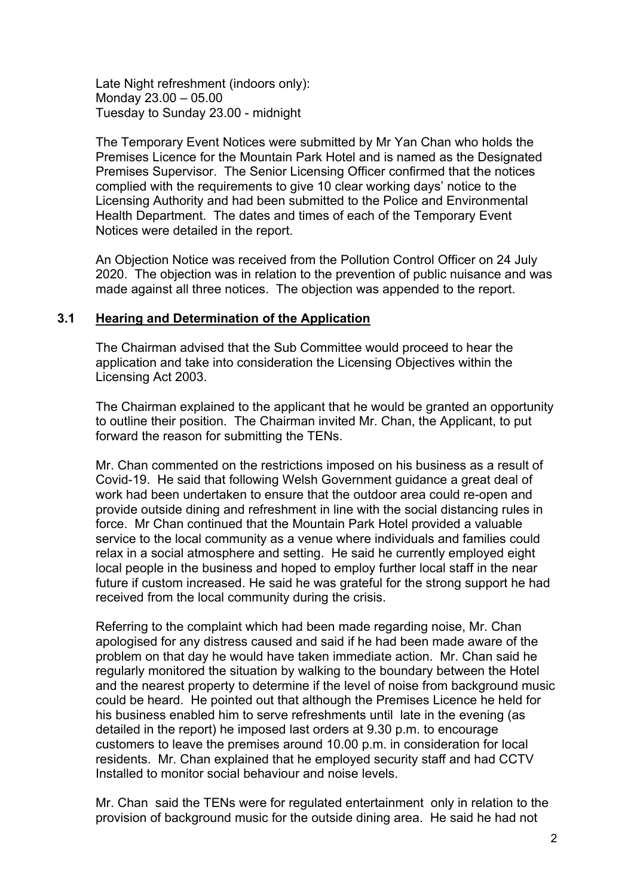Late Night refreshment (indoors only): Monday 23.00 – 05.00 Tuesday to Sunday 23.00 - midnight

The Temporary Event Notices were submitted by Mr Yan Chan who holds the Premises Licence for the Mountain Park Hotel and is named as the Designated Premises Supervisor. The Senior Licensing Officer confirmed that the notices complied with the requirements to give 10 clear working days' notice to the Licensing Authority and had been submitted to the Police and Environmental Health Department. The dates and times of each of the Temporary Event Notices were detailed in the report.

An Objection Notice was received from the Pollution Control Officer on 24 July 2020. The objection was in relation to the prevention of public nuisance and was made against all three notices. The objection was appended to the report.

#### **3.1 Hearing and Determination of the Application**

The Chairman advised that the Sub Committee would proceed to hear the application and take into consideration the Licensing Objectives within the Licensing Act 2003.

The Chairman explained to the applicant that he would be granted an opportunity to outline their position. The Chairman invited Mr. Chan, the Applicant, to put forward the reason for submitting the TENs.

Mr. Chan commented on the restrictions imposed on his business as a result of Covid-19. He said that following Welsh Government guidance a great deal of work had been undertaken to ensure that the outdoor area could re-open and provide outside dining and refreshment in line with the social distancing rules in force. Mr Chan continued that the Mountain Park Hotel provided a valuable service to the local community as a venue where individuals and families could relax in a social atmosphere and setting. He said he currently employed eight local people in the business and hoped to employ further local staff in the near future if custom increased. He said he was grateful for the strong support he had received from the local community during the crisis.

Referring to the complaint which had been made regarding noise, Mr. Chan apologised for any distress caused and said if he had been made aware of the problem on that day he would have taken immediate action. Mr. Chan said he regularly monitored the situation by walking to the boundary between the Hotel and the nearest property to determine if the level of noise from background music could be heard. He pointed out that although the Premises Licence he held for his business enabled him to serve refreshments until late in the evening (as detailed in the report) he imposed last orders at 9.30 p.m. to encourage customers to leave the premises around 10.00 p.m. in consideration for local residents. Mr. Chan explained that he employed security staff and had CCTV Installed to monitor social behaviour and noise levels.

Mr. Chan said the TENs were for regulated entertainment only in relation to the provision of background music for the outside dining area. He said he had not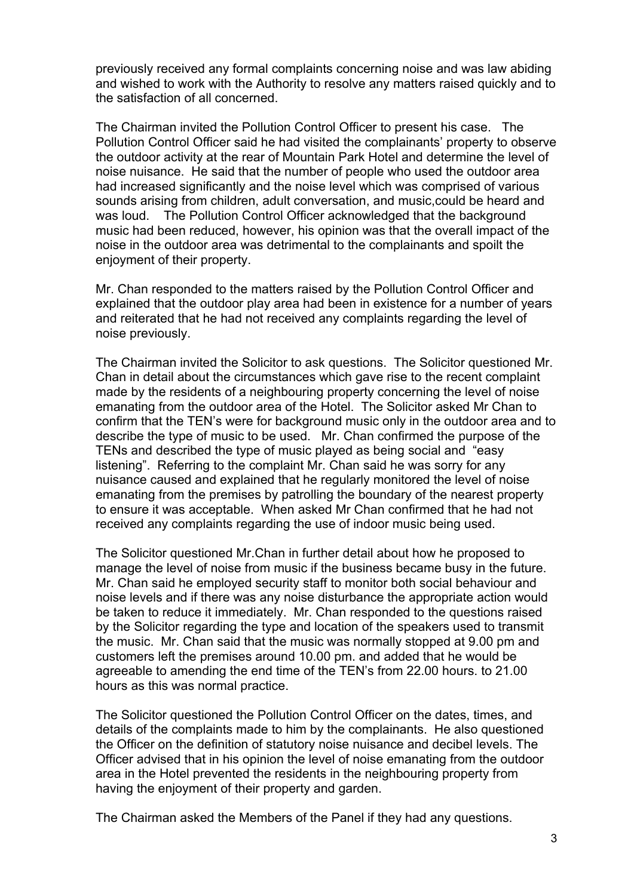previously received any formal complaints concerning noise and was law abiding and wished to work with the Authority to resolve any matters raised quickly and to the satisfaction of all concerned.

The Chairman invited the Pollution Control Officer to present his case. The Pollution Control Officer said he had visited the complainants' property to observe the outdoor activity at the rear of Mountain Park Hotel and determine the level of noise nuisance. He said that the number of people who used the outdoor area had increased significantly and the noise level which was comprised of various sounds arising from children, adult conversation, and music,could be heard and was loud. The Pollution Control Officer acknowledged that the background music had been reduced, however, his opinion was that the overall impact of the noise in the outdoor area was detrimental to the complainants and spoilt the enjoyment of their property.

Mr. Chan responded to the matters raised by the Pollution Control Officer and explained that the outdoor play area had been in existence for a number of years and reiterated that he had not received any complaints regarding the level of noise previously.

The Chairman invited the Solicitor to ask questions. The Solicitor questioned Mr. Chan in detail about the circumstances which gave rise to the recent complaint made by the residents of a neighbouring property concerning the level of noise emanating from the outdoor area of the Hotel. The Solicitor asked Mr Chan to confirm that the TEN's were for background music only in the outdoor area and to describe the type of music to be used. Mr. Chan confirmed the purpose of the TENs and described the type of music played as being social and "easy listening". Referring to the complaint Mr. Chan said he was sorry for any nuisance caused and explained that he regularly monitored the level of noise emanating from the premises by patrolling the boundary of the nearest property to ensure it was acceptable. When asked Mr Chan confirmed that he had not received any complaints regarding the use of indoor music being used.

The Solicitor questioned Mr.Chan in further detail about how he proposed to manage the level of noise from music if the business became busy in the future. Mr. Chan said he employed security staff to monitor both social behaviour and noise levels and if there was any noise disturbance the appropriate action would be taken to reduce it immediately. Mr. Chan responded to the questions raised by the Solicitor regarding the type and location of the speakers used to transmit the music. Mr. Chan said that the music was normally stopped at 9.00 pm and customers left the premises around 10.00 pm. and added that he would be agreeable to amending the end time of the TEN's from 22.00 hours. to 21.00 hours as this was normal practice.

The Solicitor questioned the Pollution Control Officer on the dates, times, and details of the complaints made to him by the complainants. He also questioned the Officer on the definition of statutory noise nuisance and decibel levels. The Officer advised that in his opinion the level of noise emanating from the outdoor area in the Hotel prevented the residents in the neighbouring property from having the enjoyment of their property and garden.

The Chairman asked the Members of the Panel if they had any questions.